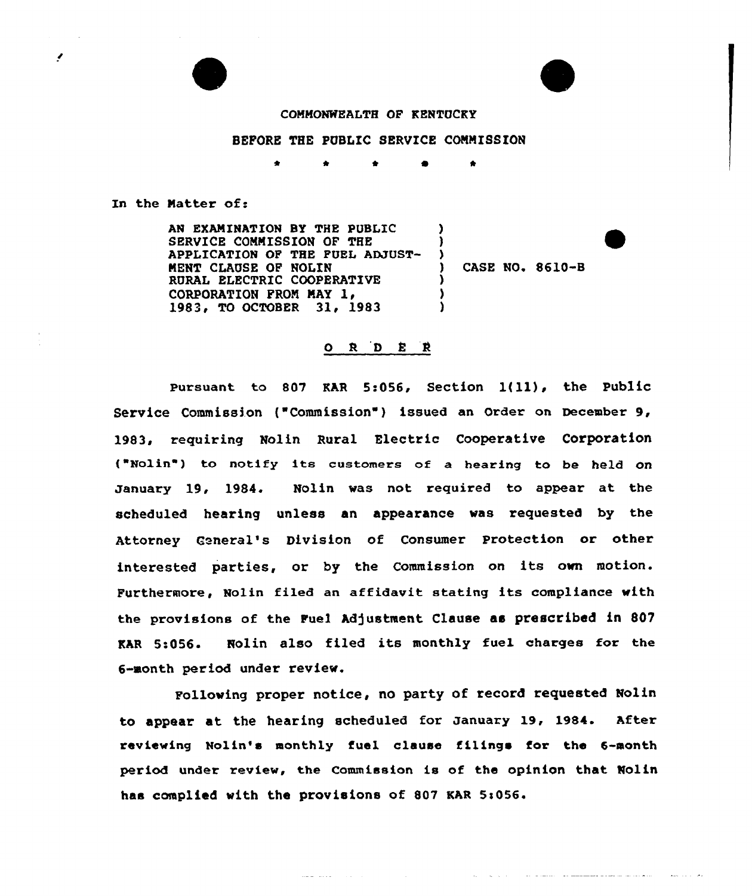## COMMONWEALTH OF KENTUCKY

## BEFORE THE PUBLIC SERVICE COMMISSION

\* \* 4

## In the Natter of.

**A** 

AN EXAMINATION BY THE PUBLIC SERVICE COMMISSION OF THE APPLICATION OF THE FUEL ADJUST-MENT CLAUSE OF NOLIN RURAL ELECTRIC COOPERATIVE CORPORATION PROM MAY ly 1983, TO OCTOBER 31, 1983 ) ) ) ) ) )

) CASE NO. 8610-B

## ORDER

Pursuant to <sup>807</sup> KAR 5:056, Section l{ll), the Public Service Commission ("Commission") issued an Order on December 9, 1983, requiring Nolin Rural Electric Cooperative Corporation { Nolin ) to notify its customers of <sup>a</sup> hearing to be held on January 19, 1984. Nolin was not required to appear at the scheduled hearing unless an appearance was requested by the Attorney Ceneral's Division of Consumer Protection or other interested parties, or by the Commission on its own motion. Furthermore, Nolin filed an affidavit stating its compliance with the provisions of the Fuel Adjustment Clause as prescribed in 807 KAR 5:056. Nolin also filed its monthly fuel charges for the 6-month period under review.

Following proper notice, no party of record requested Nolin to appear at the hearing scheduled for January 19, 1984. After reviewing Nolin's monthly fuel clause filings for the 6-month period under review, the Commission is of the opinion that Nolin has complied with the provisions of 807 KAR 5:056.

**Service** Service